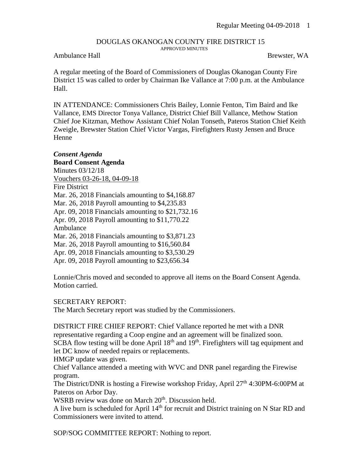## DOUGLAS OKANOGAN COUNTY FIRE DISTRICT 15 APPROVED MINUTES

## Ambulance Hall Brewster, WA

A regular meeting of the Board of Commissioners of Douglas Okanogan County Fire District 15 was called to order by Chairman Ike Vallance at 7:00 p.m. at the Ambulance Hall.

IN ATTENDANCE: Commissioners Chris Bailey, Lonnie Fenton, Tim Baird and Ike Vallance, EMS Director Tonya Vallance, District Chief Bill Vallance, Methow Station Chief Joe Kitzman, Methow Assistant Chief Nolan Tonseth, Pateros Station Chief Keith Zweigle, Brewster Station Chief Victor Vargas, Firefighters Rusty Jensen and Bruce Henne

## *Consent Agenda*

**Board Consent Agenda** Minutes 03/12/18 Vouchers 03-26-18, 04-09-18 Fire District Mar. 26, 2018 Financials amounting to \$4,168.87 Mar. 26, 2018 Payroll amounting to \$4,235.83 Apr. 09, 2018 Financials amounting to \$21,732.16 Apr. 09, 2018 Payroll amounting to \$11,770.22 Ambulance Mar. 26, 2018 Financials amounting to \$3,871.23 Mar. 26, 2018 Payroll amounting to \$16,560.84 Apr. 09, 2018 Financials amounting to \$3,530.29 Apr. 09, 2018 Payroll amounting to \$23,656.34

Lonnie/Chris moved and seconded to approve all items on the Board Consent Agenda. Motion carried.

## SECRETARY REPORT:

The March Secretary report was studied by the Commissioners.

DISTRICT FIRE CHIEF REPORT: Chief Vallance reported he met with a DNR representative regarding a Coop engine and an agreement will be finalized soon. SCBA flow testing will be done April  $18<sup>th</sup>$  and  $19<sup>th</sup>$ . Firefighters will tag equipment and let DC know of needed repairs or replacements.

HMGP update was given.

Chief Vallance attended a meeting with WVC and DNR panel regarding the Firewise program.

The District/DNR is hosting a Firewise workshop Friday, April 27<sup>th</sup> 4:30PM-6:00PM at Pateros on Arbor Day.

WSRB review was done on March 20<sup>th</sup>. Discussion held.

A live burn is scheduled for April 14<sup>th</sup> for recruit and District training on N Star RD and Commissioners were invited to attend.

SOP/SOG COMMITTEE REPORT: Nothing to report.